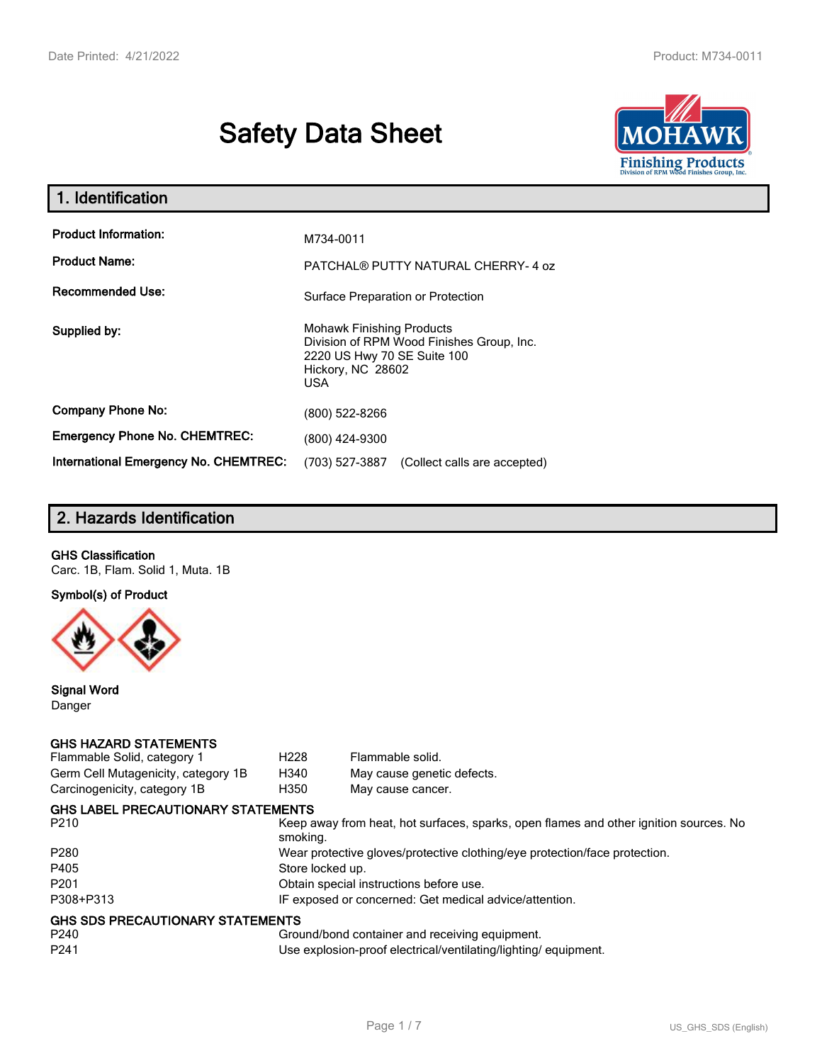# **Safety Data Sheet**



| 1. Identification                     |                                                                                                                                          |
|---------------------------------------|------------------------------------------------------------------------------------------------------------------------------------------|
| <b>Product Information:</b>           | M734-0011                                                                                                                                |
| <b>Product Name:</b>                  | PATCHAL® PUTTY NATURAL CHERRY-4 oz                                                                                                       |
| <b>Recommended Use:</b>               | Surface Preparation or Protection                                                                                                        |
| Supplied by:                          | <b>Mohawk Finishing Products</b><br>Division of RPM Wood Finishes Group, Inc.<br>2220 US Hwy 70 SE Suite 100<br>Hickory, NC 28602<br>USA |
| <b>Company Phone No:</b>              | (800) 522-8266                                                                                                                           |
| <b>Emergency Phone No. CHEMTREC:</b>  | (800) 424-9300                                                                                                                           |
| International Emergency No. CHEMTREC: | (703) 527-3887<br>(Collect calls are accepted)                                                                                           |

# **2. Hazards Identification**

#### **GHS Classification**

Carc. 1B, Flam. Solid 1, Muta. 1B

**Symbol(s) of Product**



**Signal Word** Danger

#### **GHS HAZARD STATEMENTS**

| Flammable Solid, category 1               | H <sub>228</sub> | Flammable solid.                                                                      |
|-------------------------------------------|------------------|---------------------------------------------------------------------------------------|
| Germ Cell Mutagenicity, category 1B       | H340             | May cause genetic defects.                                                            |
| Carcinogenicity, category 1B              | H350             | May cause cancer.                                                                     |
| <b>GHS LABEL PRECAUTIONARY STATEMENTS</b> |                  |                                                                                       |
| P <sub>210</sub>                          | smoking.         | Keep away from heat, hot surfaces, sparks, open flames and other ignition sources. No |
| P <sub>280</sub>                          |                  | Wear protective gloves/protective clothing/eye protection/face protection.            |
| P405                                      | Store locked up. |                                                                                       |
| P <sub>201</sub>                          |                  | Obtain special instructions before use.                                               |
| P308+P313                                 |                  | IF exposed or concerned: Get medical advice/attention.                                |
| <b>GHS SDS PRECAUTIONARY STATEMENTS</b>   |                  |                                                                                       |
| P240                                      |                  | Ground/bond container and receiving equipment.                                        |
| P <sub>241</sub>                          |                  | Use explosion-proof electrical/ventilating/lighting/equipment.                        |
|                                           |                  |                                                                                       |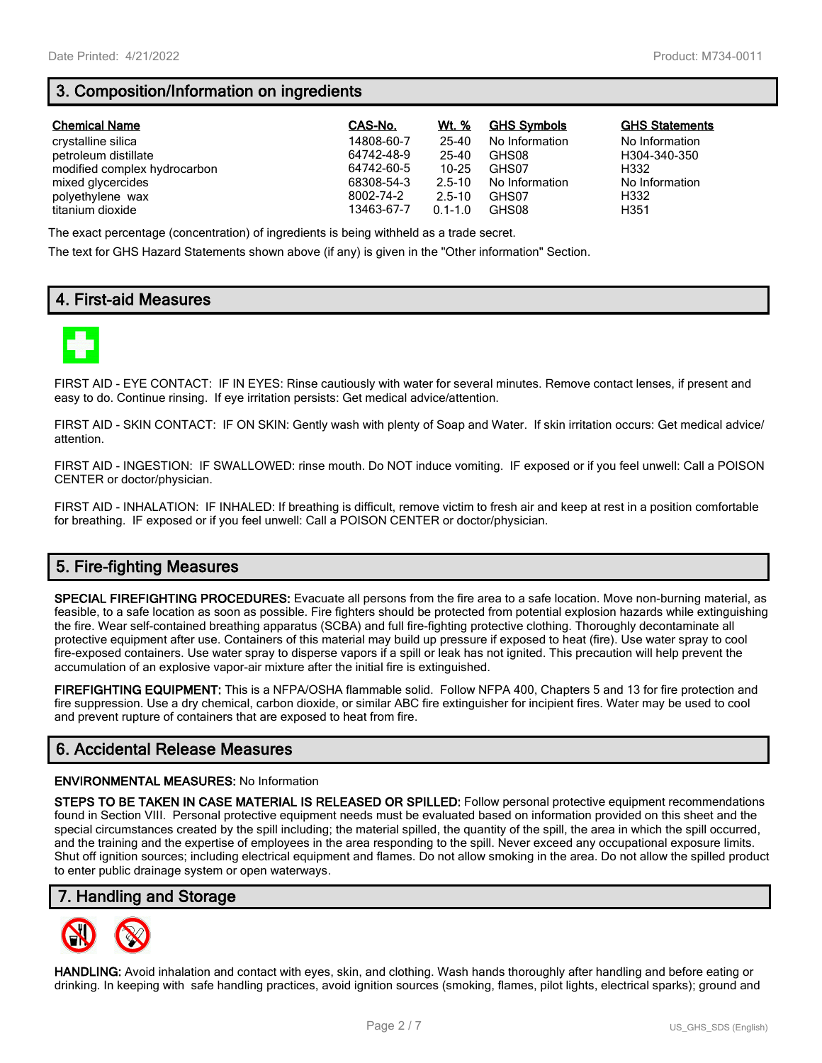# **3. Composition/Information on ingredients**

| <b>Chemical Name</b>         | CAS-No.    | Wt. %       | <b>GHS Symbols</b> | <b>GHS Statements</b> |
|------------------------------|------------|-------------|--------------------|-----------------------|
| crystalline silica           | 14808-60-7 | 25-40       | No Information     | No Information        |
| petroleum distillate         | 64742-48-9 | 25-40       | GHS08              | H304-340-350          |
| modified complex hydrocarbon | 64742-60-5 | $10 - 25$   | GHS07              | H332                  |
| mixed glycercides            | 68308-54-3 | $2.5 - 10$  | No Information     | No Information        |
| polyethylene wax             | 8002-74-2  | $2.5 - 10$  | GHS07              | H332                  |
| titanium dioxide             | 13463-67-7 | $0.1 - 1.0$ | GHS08              | H351                  |

The exact percentage (concentration) of ingredients is being withheld as a trade secret.

The text for GHS Hazard Statements shown above (if any) is given in the "Other information" Section.

# **4. First-aid Measures**



FIRST AID - EYE CONTACT: IF IN EYES: Rinse cautiously with water for several minutes. Remove contact lenses, if present and easy to do. Continue rinsing. If eye irritation persists: Get medical advice/attention.

FIRST AID - SKIN CONTACT: IF ON SKIN: Gently wash with plenty of Soap and Water. If skin irritation occurs: Get medical advice/ attention.

FIRST AID - INGESTION: IF SWALLOWED: rinse mouth. Do NOT induce vomiting. IF exposed or if you feel unwell: Call a POISON CENTER or doctor/physician.

FIRST AID - INHALATION: IF INHALED: If breathing is difficult, remove victim to fresh air and keep at rest in a position comfortable for breathing. IF exposed or if you feel unwell: Call a POISON CENTER or doctor/physician.

# **5. Fire-fighting Measures**

**SPECIAL FIREFIGHTING PROCEDURES:** Evacuate all persons from the fire area to a safe location. Move non-burning material, as feasible, to a safe location as soon as possible. Fire fighters should be protected from potential explosion hazards while extinguishing the fire. Wear self-contained breathing apparatus (SCBA) and full fire-fighting protective clothing. Thoroughly decontaminate all protective equipment after use. Containers of this material may build up pressure if exposed to heat (fire). Use water spray to cool fire-exposed containers. Use water spray to disperse vapors if a spill or leak has not ignited. This precaution will help prevent the accumulation of an explosive vapor-air mixture after the initial fire is extinguished.

**FIREFIGHTING EQUIPMENT:** This is a NFPA/OSHA flammable solid. Follow NFPA 400, Chapters 5 and 13 for fire protection and fire suppression. Use a dry chemical, carbon dioxide, or similar ABC fire extinguisher for incipient fires. Water may be used to cool and prevent rupture of containers that are exposed to heat from fire.

# **6. Accidental Release Measures**

#### **ENVIRONMENTAL MEASURES:** No Information

**STEPS TO BE TAKEN IN CASE MATERIAL IS RELEASED OR SPILLED:** Follow personal protective equipment recommendations found in Section VIII. Personal protective equipment needs must be evaluated based on information provided on this sheet and the special circumstances created by the spill including; the material spilled, the quantity of the spill, the area in which the spill occurred, and the training and the expertise of employees in the area responding to the spill. Never exceed any occupational exposure limits. Shut off ignition sources; including electrical equipment and flames. Do not allow smoking in the area. Do not allow the spilled product to enter public drainage system or open waterways.

## **7. Handling and Storage**



**HANDLING:** Avoid inhalation and contact with eyes, skin, and clothing. Wash hands thoroughly after handling and before eating or drinking. In keeping with safe handling practices, avoid ignition sources (smoking, flames, pilot lights, electrical sparks); ground and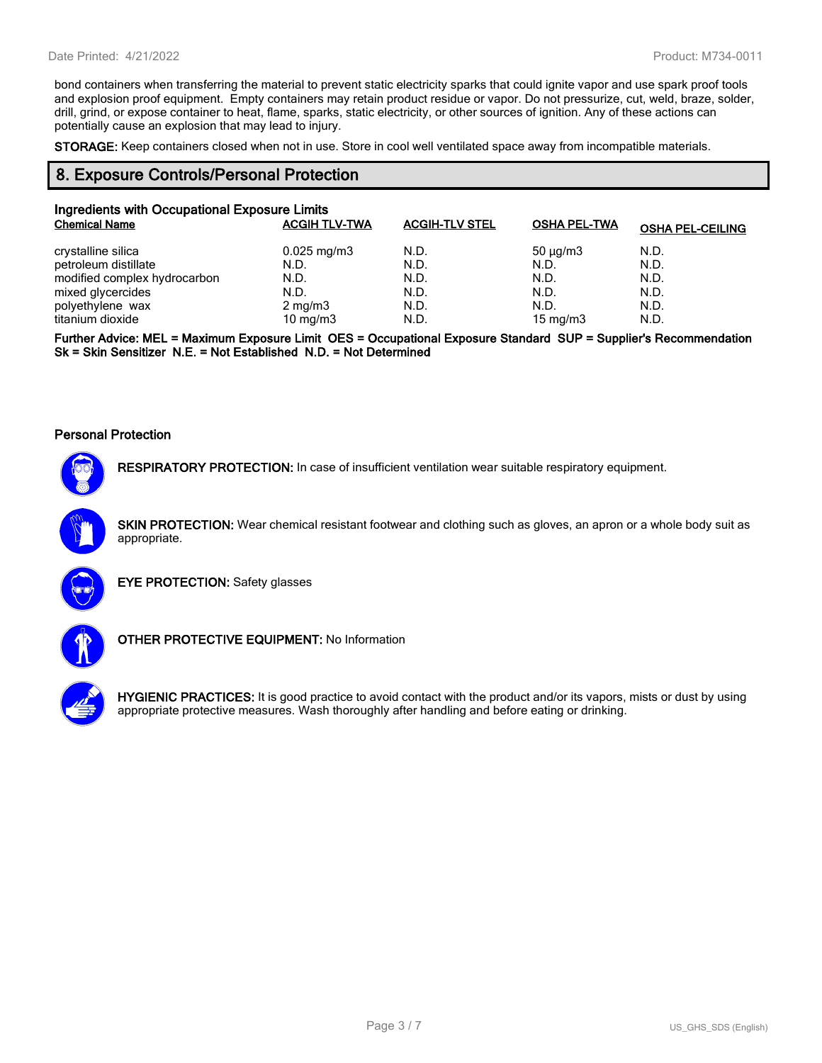bond containers when transferring the material to prevent static electricity sparks that could ignite vapor and use spark proof tools and explosion proof equipment. Empty containers may retain product residue or vapor. Do not pressurize, cut, weld, braze, solder, drill, grind, or expose container to heat, flame, sparks, static electricity, or other sources of ignition. Any of these actions can potentially cause an explosion that may lead to injury.

**STORAGE:** Keep containers closed when not in use. Store in cool well ventilated space away from incompatible materials.

#### **8. Exposure Controls/Personal Protection**

| Ingredients with Occupational Exposure Limits |                         |                       |                     |                         |
|-----------------------------------------------|-------------------------|-----------------------|---------------------|-------------------------|
| <b>Chemical Name</b>                          | <b>ACGIH TLV-TWA</b>    | <b>ACGIH-TLV STEL</b> | <b>OSHA PEL-TWA</b> | <b>OSHA PEL-CEILING</b> |
| crystalline silica                            | $0.025 \,\mathrm{mg/m}$ | N.D.                  | $50 \mu q/m3$       | N.D.                    |
| petroleum distillate                          | N.D.                    | N.D.                  | N.D.                | N.D.                    |
| modified complex hydrocarbon                  | N.D.                    | N.D.                  | N.D.                | N.D.                    |
| mixed glycercides                             | N.D.                    | N.D.                  | N.D.                | N.D.                    |
| polyethylene wax                              | $2 \text{ mg/m}$ 3      | N.D.                  | N.D.                | N.D.                    |
| titanium dioxide                              | 10 mg/m $3$             | N.D.                  | 15 mg/m $3$         | N.D.                    |

**Further Advice: MEL = Maximum Exposure Limit OES = Occupational Exposure Standard SUP = Supplier's Recommendation Sk = Skin Sensitizer N.E. = Not Established N.D. = Not Determined**

#### **Personal Protection**



**RESPIRATORY PROTECTION:** In case of insufficient ventilation wear suitable respiratory equipment.

**SKIN PROTECTION:** Wear chemical resistant footwear and clothing such as gloves, an apron or a whole body suit as appropriate.



**EYE PROTECTION:** Safety glasses



**OTHER PROTECTIVE EQUIPMENT:** No Information



**HYGIENIC PRACTICES:** It is good practice to avoid contact with the product and/or its vapors, mists or dust by using appropriate protective measures. Wash thoroughly after handling and before eating or drinking.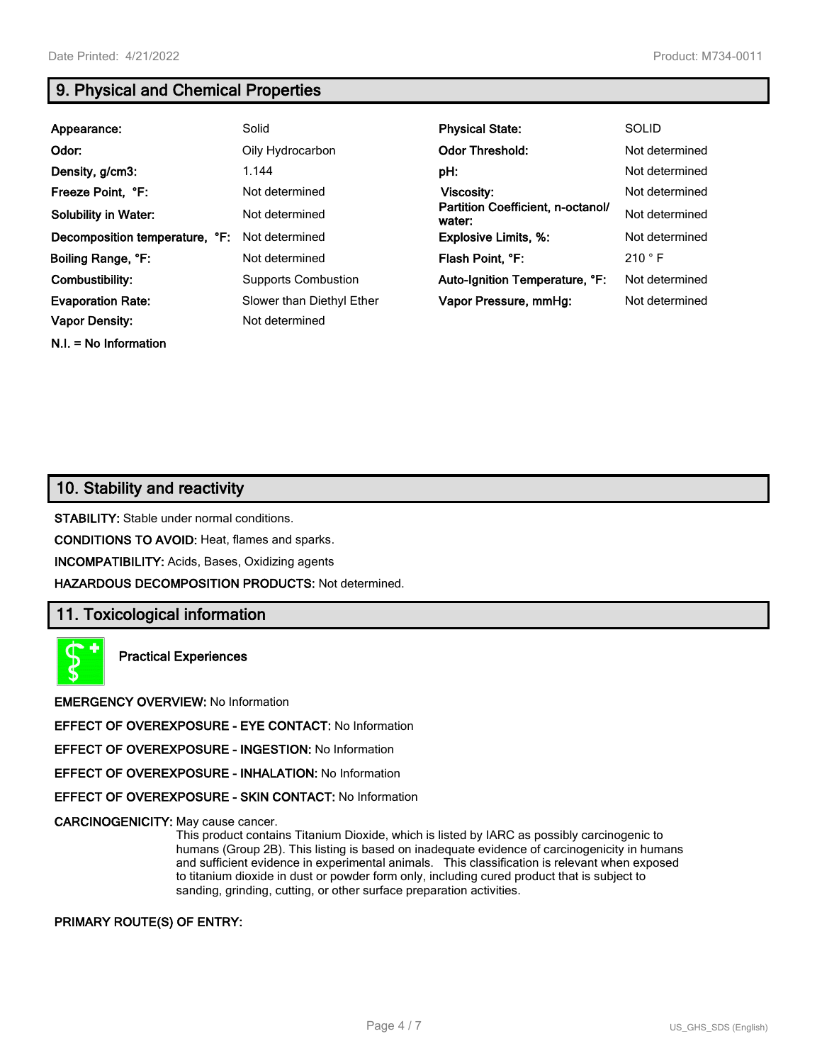**N.I. = No Information**

# **9. Physical and Chemical Properties**

| Appearance:                    | Solid                      | <b>Physical State:</b>                      | <b>SOLID</b>   |
|--------------------------------|----------------------------|---------------------------------------------|----------------|
| Odor:                          | Oily Hydrocarbon           | <b>Odor Threshold:</b>                      | Not determined |
| Density, g/cm3:                | 1.144                      | pH:                                         | Not determined |
| Freeze Point, °F:              | Not determined             | Viscosity:                                  | Not determined |
| <b>Solubility in Water:</b>    | Not determined             | Partition Coefficient, n-octanol/<br>water: | Not determined |
| Decomposition temperature, °F: | Not determined             | <b>Explosive Limits, %:</b>                 | Not determined |
| Boiling Range, °F:             | Not determined             | Flash Point, °F:                            | 210 °F         |
| Combustibility:                | <b>Supports Combustion</b> | Auto-Ignition Temperature, °F:              | Not determined |
| <b>Evaporation Rate:</b>       | Slower than Diethyl Ether  | Vapor Pressure, mmHq:                       | Not determined |
| <b>Vapor Density:</b>          | Not determined             |                                             |                |

# **10. Stability and reactivity**

**STABILITY:** Stable under normal conditions.

**CONDITIONS TO AVOID:** Heat, flames and sparks.

**INCOMPATIBILITY:** Acids, Bases, Oxidizing agents

**HAZARDOUS DECOMPOSITION PRODUCTS:** Not determined.

## **11. Toxicological information**

**Practical Experiences**

**EMERGENCY OVERVIEW:** No Information

**EFFECT OF OVEREXPOSURE - EYE CONTACT:** No Information

**EFFECT OF OVEREXPOSURE - INGESTION:** No Information

**EFFECT OF OVEREXPOSURE - INHALATION:** No Information

**EFFECT OF OVEREXPOSURE - SKIN CONTACT:** No Information

**CARCINOGENICITY:** May cause cancer.

This product contains Titanium Dioxide, which is listed by IARC as possibly carcinogenic to humans (Group 2B). This listing is based on inadequate evidence of carcinogenicity in humans and sufficient evidence in experimental animals. This classification is relevant when exposed to titanium dioxide in dust or powder form only, including cured product that is subject to sanding, grinding, cutting, or other surface preparation activities.

#### **PRIMARY ROUTE(S) OF ENTRY:**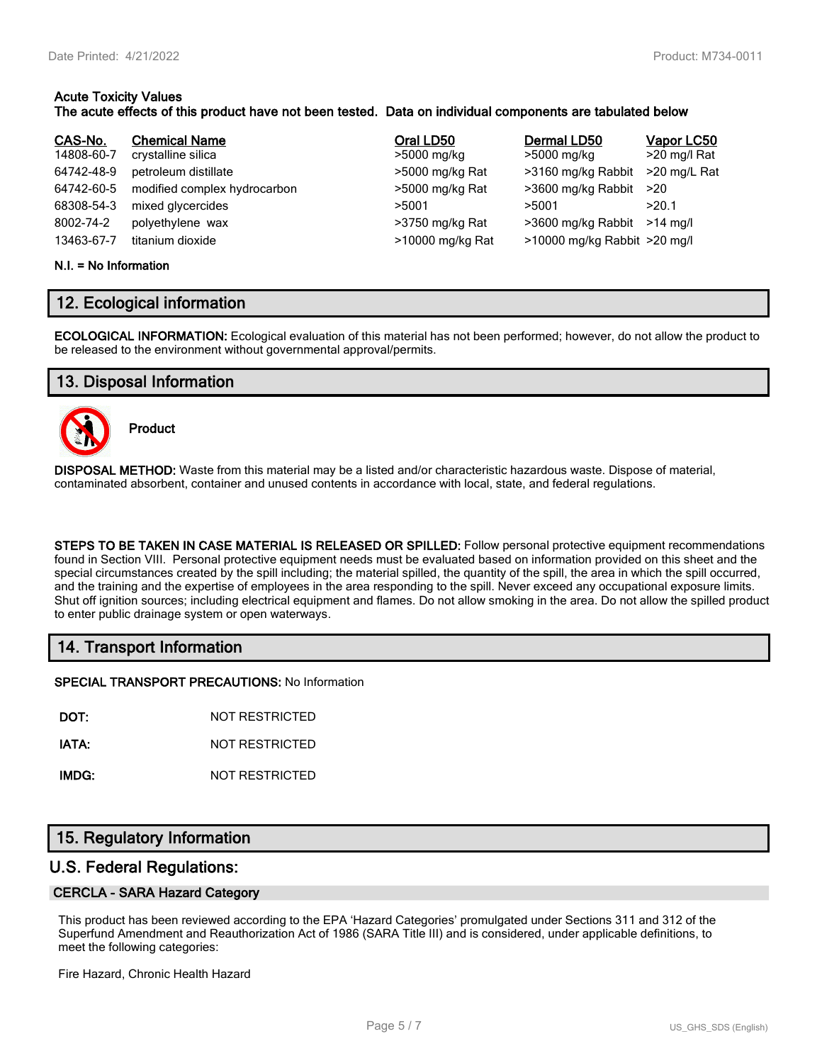# **Acute Toxicity Values**

#### **The acute effects of this product have not been tested. Data on individual components are tabulated below**

| CAS-No.<br>14808-60-7<br>64742-48-9<br>64742-60-5<br>68308-54-3<br>8002-74-2 | <b>Chemical Name</b><br>crystalline silica<br>petroleum distillate<br>modified complex hydrocarbon<br>mixed glycercides<br>polyethylene wax | Oral LD50<br>>5000 mg/kg<br>>5000 mg/kg Rat<br>>5000 mg/kg Rat<br>>5001<br>>3750 mg/kg Rat | Dermal LD50<br>>5000 mg/kg<br>>3160 mg/kg Rabbit<br>>3600 mg/kg Rabbit<br>>5001<br>>3600 mg/kg Rabbit >14 mg/l | Vapor LC50<br>>20 mg/l Rat<br>>20 mg/L Rat<br>>20<br>>20.1 |
|------------------------------------------------------------------------------|---------------------------------------------------------------------------------------------------------------------------------------------|--------------------------------------------------------------------------------------------|----------------------------------------------------------------------------------------------------------------|------------------------------------------------------------|
| 13463-67-7                                                                   | titanium dioxide                                                                                                                            | >10000 mg/kg Rat                                                                           | >10000 mg/kg Rabbit >20 mg/l                                                                                   |                                                            |

#### **N.I. = No Information**

# **12. Ecological information**

**ECOLOGICAL INFORMATION:** Ecological evaluation of this material has not been performed; however, do not allow the product to be released to the environment without governmental approval/permits.

# **13. Disposal Information**



**Product**

**DISPOSAL METHOD:** Waste from this material may be a listed and/or characteristic hazardous waste. Dispose of material, contaminated absorbent, container and unused contents in accordance with local, state, and federal regulations.

**STEPS TO BE TAKEN IN CASE MATERIAL IS RELEASED OR SPILLED:** Follow personal protective equipment recommendations found in Section VIII. Personal protective equipment needs must be evaluated based on information provided on this sheet and the special circumstances created by the spill including; the material spilled, the quantity of the spill, the area in which the spill occurred, and the training and the expertise of employees in the area responding to the spill. Never exceed any occupational exposure limits. Shut off ignition sources; including electrical equipment and flames. Do not allow smoking in the area. Do not allow the spilled product to enter public drainage system or open waterways.

# **14. Transport Information**

**SPECIAL TRANSPORT PRECAUTIONS:** No Information

**DOT:** NOT RESTRICTED

**IATA:** NOT RESTRICTED

**IMDG:** NOT RESTRICTED

# **15. Regulatory Information**

## **U.S. Federal Regulations:**

#### **CERCLA - SARA Hazard Category**

This product has been reviewed according to the EPA 'Hazard Categories' promulgated under Sections 311 and 312 of the Superfund Amendment and Reauthorization Act of 1986 (SARA Title III) and is considered, under applicable definitions, to meet the following categories:

Fire Hazard, Chronic Health Hazard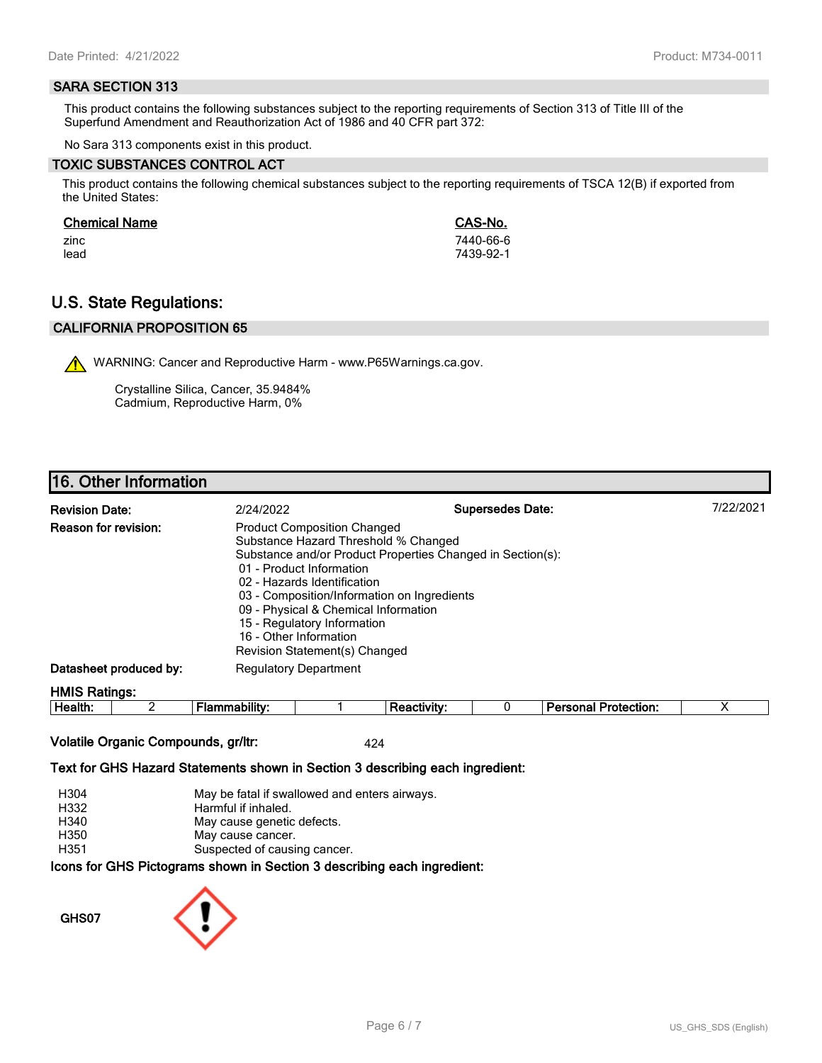#### **SARA SECTION 313**

This product contains the following substances subject to the reporting requirements of Section 313 of Title III of the Superfund Amendment and Reauthorization Act of 1986 and 40 CFR part 372:

No Sara 313 components exist in this product.

#### **TOXIC SUBSTANCES CONTROL ACT**

This product contains the following chemical substances subject to the reporting requirements of TSCA 12(B) if exported from the United States:

#### **Chemical Name CAS-No.**

zinc 7440-66-6 lead 7439-92-1

# **U.S. State Regulations:**

## **CALIFORNIA PROPOSITION 65**

WARNING: Cancer and Reproductive Harm - www.P65Warnings.ca.gov.

Crystalline Silica, Cancer, 35.9484% Cadmium, Reproductive Harm, 0%

# **16. Other Information**

| <b>Revision Date:</b>       | 2/24/2022                                                                                                                                                                                                                                                                                                              | <b>Supersedes Date:</b>                                    | 7/22/2021 |
|-----------------------------|------------------------------------------------------------------------------------------------------------------------------------------------------------------------------------------------------------------------------------------------------------------------------------------------------------------------|------------------------------------------------------------|-----------|
| <b>Reason for revision:</b> | <b>Product Composition Changed</b><br>Substance Hazard Threshold % Changed<br>01 - Product Information<br>02 - Hazards Identification<br>03 - Composition/Information on Ingredients<br>09 - Physical & Chemical Information<br>15 - Regulatory Information<br>16 - Other Information<br>Revision Statement(s) Changed | Substance and/or Product Properties Changed in Section(s): |           |
| Datasheet produced by:      | <b>Regulatory Department</b>                                                                                                                                                                                                                                                                                           |                                                            |           |
| <b>HMIS Ratings:</b>        |                                                                                                                                                                                                                                                                                                                        |                                                            |           |

| . .<br>-<br>ле<br><br><br> |  |  | - --<br>$ -$<br>.<br>лил |  |
|----------------------------|--|--|--------------------------|--|
|                            |  |  |                          |  |

#### **Volatile Organic Compounds, gr/ltr:** 424

#### **Text for GHS Hazard Statements shown in Section 3 describing each ingredient:**

| H304 | May be fatal if swallowed and enters airways.                   |
|------|-----------------------------------------------------------------|
| H332 | Harmful if inhaled.                                             |
| H340 | May cause genetic defects.                                      |
| H350 | May cause cancer.                                               |
| H351 | Suspected of causing cancer.                                    |
|      | cons for CHS Dictograms shown in Section 3 describing each ingr |

# **Icons for GHS Pictograms shown in Section 3 describing each ingredient:**

**GHS07**